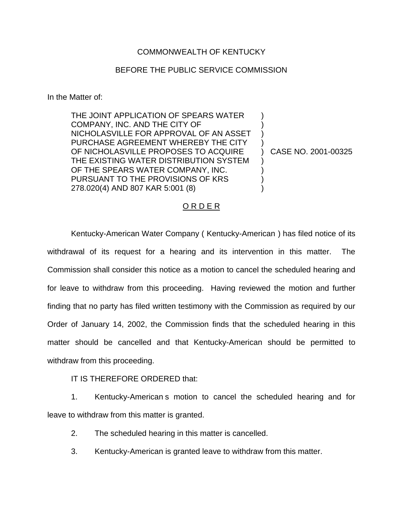## COMMONWEALTH OF KENTUCKY

## BEFORE THE PUBLIC SERVICE COMMISSION

In the Matter of:

THE JOINT APPLICATION OF SPEARS WATER COMPANY, INC. AND THE CITY OF NICHOLASVILLE FOR APPROVAL OF AN ASSET PURCHASE AGREEMENT WHEREBY THE CITY OF NICHOLASVILLE PROPOSES TO ACQUIRE THE EXISTING WATER DISTRIBUTION SYSTEM OF THE SPEARS WATER COMPANY, INC. PURSUANT TO THE PROVISIONS OF KRS 278.020(4) AND 807 KAR 5:001 (8)

) CASE NO. 2001-00325

) ) ) )

) ) ) )

## O R D E R

Kentucky-American Water Company ( Kentucky-American ) has filed notice of its withdrawal of its request for a hearing and its intervention in this matter. The Commission shall consider this notice as a motion to cancel the scheduled hearing and for leave to withdraw from this proceeding. Having reviewed the motion and further finding that no party has filed written testimony with the Commission as required by our Order of January 14, 2002, the Commission finds that the scheduled hearing in this matter should be cancelled and that Kentucky-American should be permitted to withdraw from this proceeding.

IT IS THEREFORE ORDERED that:

1. Kentucky-American s motion to cancel the scheduled hearing and for leave to withdraw from this matter is granted.

2. The scheduled hearing in this matter is cancelled.

3. Kentucky-American is granted leave to withdraw from this matter.